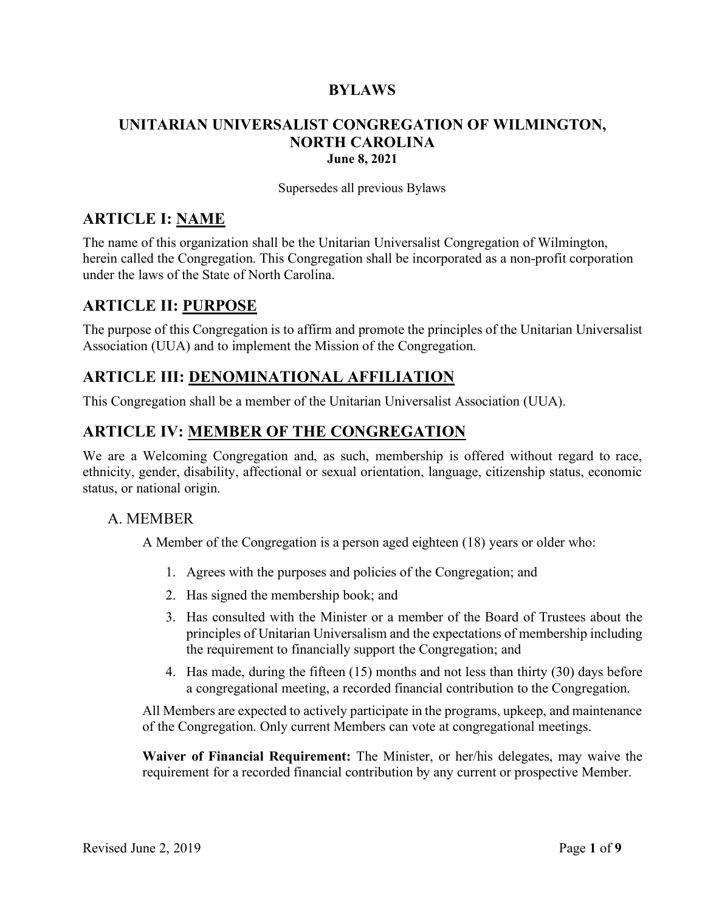### **BYLAWS**

### **UNITARIAN UNIVERSALIST CONGREGATION OF WILMINGTON, NORTH CAROLINA June 8, 2021**

Supersedes all previous Bylaws

### **ARTICLE I: NAME**

The name of this organization shall be the Unitarian Universalist Congregation of Wilmington, herein called the Congregation. This Congregation shall be incorporated as a non-profit corporation under the laws of the State of North Carolina.

## **ARTICLE II: PURPOSE**

The purpose of this Congregation is to affirm and promote the principles of the Unitarian Universalist Association (UUA) and to implement the Mission of the Congregation.

## **ARTICLE III: DENOMINATIONAL AFFILIATION**

This Congregation shall be a member of the Unitarian Universalist Association (UUA).

## **ARTICLE IV: MEMBER OF THE CONGREGATION**

We are a Welcoming Congregation and, as such, membership is offered without regard to race, ethnicity, gender, disability, affectional or sexual orientation, language, citizenship status, economic status, or national origin.

### A. MEMBER

A Member of the Congregation is a person aged eighteen (18) years or older who:

- 1. Agrees with the purposes and policies of the Congregation; and
- 2. Has signed the membership book; and
- 3. Has consulted with the Minister or a member of the Board of Trustees about the principles of Unitarian Universalism and the expectations of membership including the requirement to financially support the Congregation; and
- 4. Has made, during the fifteen (15) months and not less than thirty (30) days before a congregational meeting, a recorded financial contribution to the Congregation.

All Members are expected to actively participate in the programs, upkeep, and maintenance of the Congregation. Only current Members can vote at congregational meetings.

**Waiver of Financial Requirement:** The Minister, or her/his delegates, may waive the requirement for a recorded financial contribution by any current or prospective Member.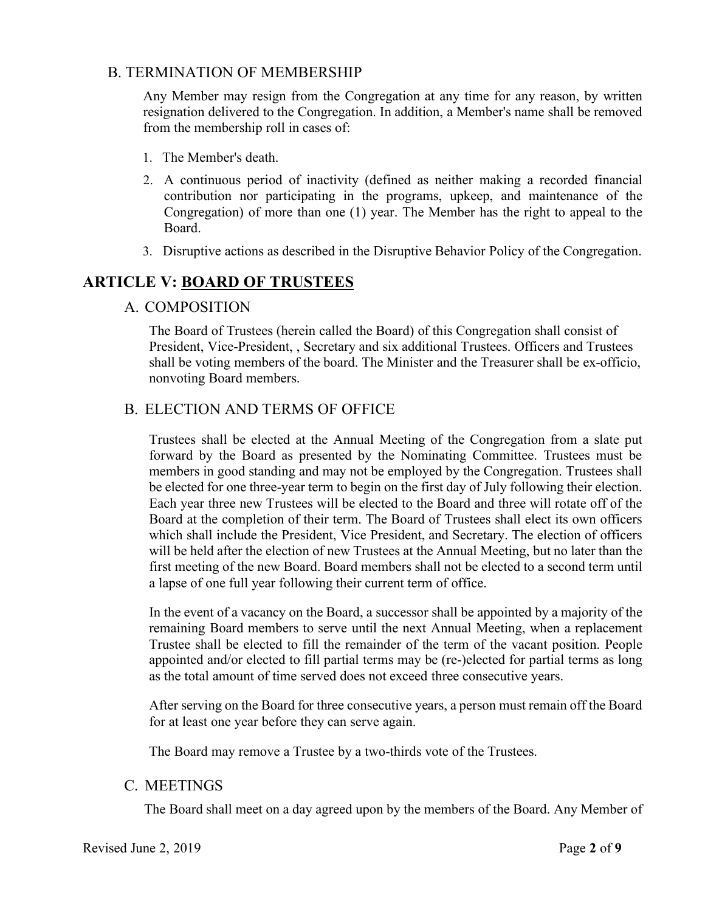#### B. TERMINATION OF MEMBERSHIP

Any Member may resign from the Congregation at any time for any reason, by written resignation delivered to the Congregation. In addition, a Member's name shall be removed from the membership roll in cases of:

- 1. The Member's death.
- 2. A continuous period of inactivity (defined as neither making a recorded financial contribution nor participating in the programs, upkeep, and maintenance of the Congregation) of more than one (1) year. The Member has the right to appeal to the Board.
- 3. Disruptive actions as described in the Disruptive Behavior Policy of the Congregation.

# **ARTICLE V: BOARD OF TRUSTEES**

### A. COMPOSITION

The Board of Trustees (herein called the Board) of this Congregation shall consist of President, Vice-President, , Secretary and six additional Trustees. Officers and Trustees shall be voting members of the board. The Minister and the Treasurer shall be ex-officio, nonvoting Board members.

### B. ELECTION AND TERMS OF OFFICE

Trustees shall be elected at the Annual Meeting of the Congregation from a slate put forward by the Board as presented by the Nominating Committee. Trustees must be members in good standing and may not be employed by the Congregation. Trustees shall be elected for one three-year term to begin on the first day of July following their election. Each year three new Trustees will be elected to the Board and three will rotate off of the Board at the completion of their term. The Board of Trustees shall elect its own officers which shall include the President, Vice President, and Secretary. The election of officers will be held after the election of new Trustees at the Annual Meeting, but no later than the first meeting of the new Board. Board members shall not be elected to a second term until a lapse of one full year following their current term of office.

In the event of a vacancy on the Board, a successor shall be appointed by a majority of the remaining Board members to serve until the next Annual Meeting, when a replacement Trustee shall be elected to fill the remainder of the term of the vacant position. People appointed and/or elected to fill partial terms may be (re-)elected for partial terms as long as the total amount of time served does not exceed three consecutive years.

After serving on the Board for three consecutive years, a person must remain off the Board for at least one year before they can serve again.

The Board may remove a Trustee by a two-thirds vote of the Trustees.

#### C. MEETINGS

The Board shall meet on a day agreed upon by the members of the Board. Any Member of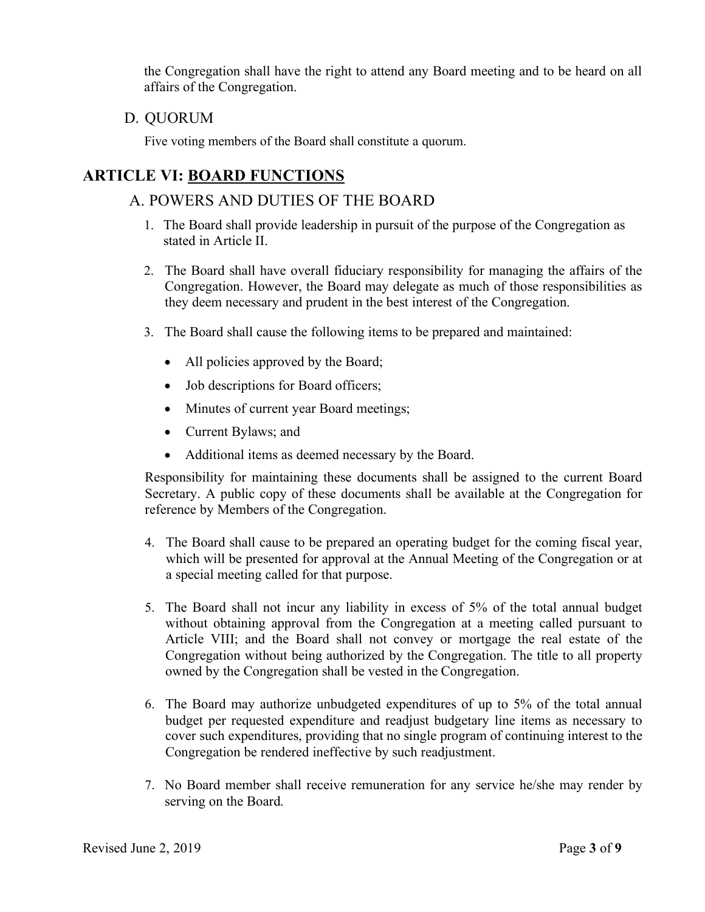the Congregation shall have the right to attend any Board meeting and to be heard on all affairs of the Congregation.

D. QUORUM

Five voting members of the Board shall constitute a quorum.

# **ARTICLE VI: BOARD FUNCTIONS**

# A. POWERS AND DUTIES OF THE BOARD

- 1. The Board shall provide leadership in pursuit of the purpose of the Congregation as stated in Article II.
- 2. The Board shall have overall fiduciary responsibility for managing the affairs of the Congregation. However, the Board may delegate as much of those responsibilities as they deem necessary and prudent in the best interest of the Congregation.
- 3. The Board shall cause the following items to be prepared and maintained:
	- All policies approved by the Board;
	- Job descriptions for Board officers;
	- Minutes of current year Board meetings;
	- Current Bylaws; and
	- Additional items as deemed necessary by the Board.

Responsibility for maintaining these documents shall be assigned to the current Board Secretary. A public copy of these documents shall be available at the Congregation for reference by Members of the Congregation.

- 4. The Board shall cause to be prepared an operating budget for the coming fiscal year, which will be presented for approval at the Annual Meeting of the Congregation or at a special meeting called for that purpose.
- 5. The Board shall not incur any liability in excess of 5% of the total annual budget without obtaining approval from the Congregation at a meeting called pursuant to Article VIII; and the Board shall not convey or mortgage the real estate of the Congregation without being authorized by the Congregation. The title to all property owned by the Congregation shall be vested in the Congregation.
- 6. The Board may authorize unbudgeted expenditures of up to 5% of the total annual budget per requested expenditure and readjust budgetary line items as necessary to cover such expenditures, providing that no single program of continuing interest to the Congregation be rendered ineffective by such readjustment.
- 7. No Board member shall receive remuneration for any service he/she may render by serving on the Board.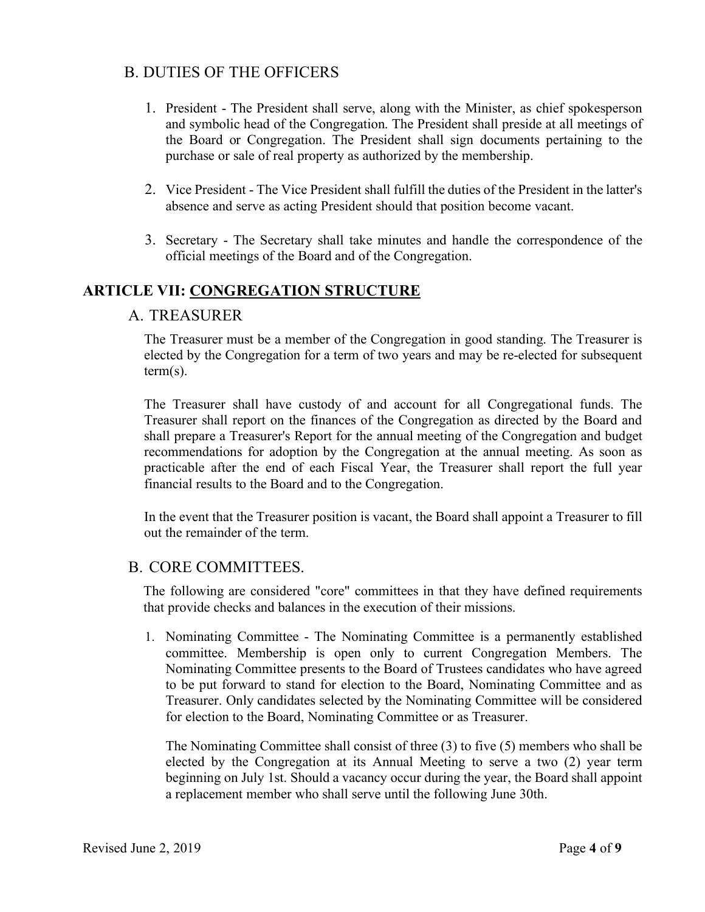## B. DUTIES OF THE OFFICERS

- 1. President The President shall serve, along with the Minister, as chief spokesperson and symbolic head of the Congregation. The President shall preside at all meetings of the Board or Congregation. The President shall sign documents pertaining to the purchase or sale of real property as authorized by the membership.
- 2. Vice President The Vice President shall fulfill the duties of the President in the latter's absence and serve as acting President should that position become vacant.
- 3. Secretary The Secretary shall take minutes and handle the correspondence of the official meetings of the Board and of the Congregation.

## **ARTICLE VII: CONGREGATION STRUCTURE**

### A. TREASURER

The Treasurer must be a member of the Congregation in good standing. The Treasurer is elected by the Congregation for a term of two years and may be re-elected for subsequent term(s).

The Treasurer shall have custody of and account for all Congregational funds. The Treasurer shall report on the finances of the Congregation as directed by the Board and shall prepare a Treasurer's Report for the annual meeting of the Congregation and budget recommendations for adoption by the Congregation at the annual meeting. As soon as practicable after the end of each Fiscal Year, the Treasurer shall report the full year financial results to the Board and to the Congregation.

In the event that the Treasurer position is vacant, the Board shall appoint a Treasurer to fill out the remainder of the term.

### B. CORE COMMITTEES.

The following are considered "core" committees in that they have defined requirements that provide checks and balances in the execution of their missions.

1. Nominating Committee - The Nominating Committee is a permanently established committee. Membership is open only to current Congregation Members. The Nominating Committee presents to the Board of Trustees candidates who have agreed to be put forward to stand for election to the Board, Nominating Committee and as Treasurer. Only candidates selected by the Nominating Committee will be considered for election to the Board, Nominating Committee or as Treasurer.

The Nominating Committee shall consist of three (3) to five (5) members who shall be elected by the Congregation at its Annual Meeting to serve a two (2) year term beginning on July 1st. Should a vacancy occur during the year, the Board shall appoint a replacement member who shall serve until the following June 30th.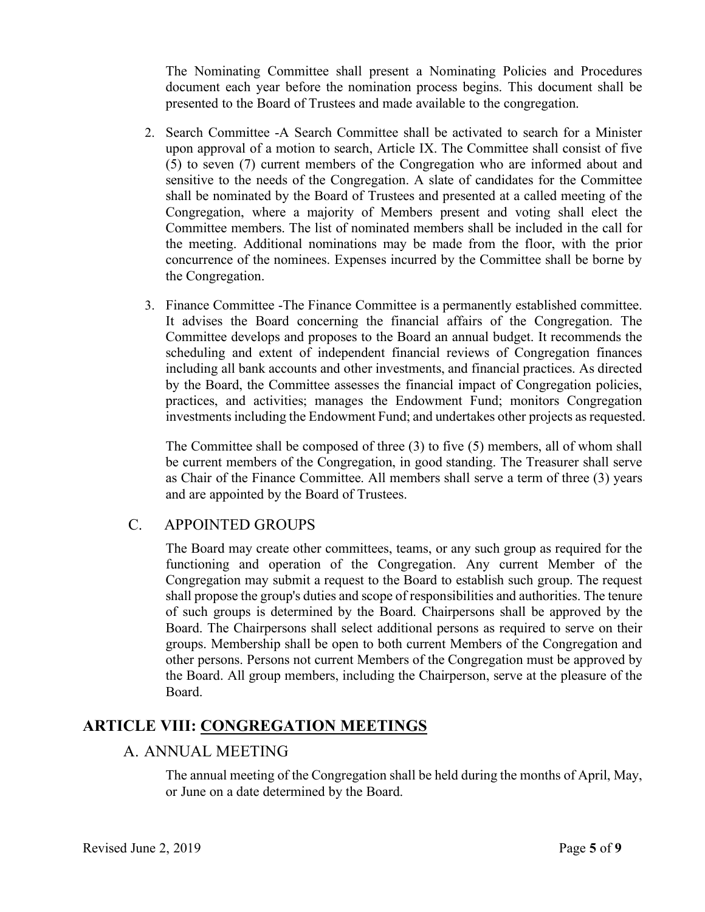The Nominating Committee shall present a Nominating Policies and Procedures document each year before the nomination process begins. This document shall be presented to the Board of Trustees and made available to the congregation.

- 2. Search Committee -A Search Committee shall be activated to search for a Minister upon approval of a motion to search, Article IX. The Committee shall consist of five (5) to seven (7) current members of the Congregation who are informed about and sensitive to the needs of the Congregation. A slate of candidates for the Committee shall be nominated by the Board of Trustees and presented at a called meeting of the Congregation, where a majority of Members present and voting shall elect the Committee members. The list of nominated members shall be included in the call for the meeting. Additional nominations may be made from the floor, with the prior concurrence of the nominees. Expenses incurred by the Committee shall be borne by the Congregation.
- 3. Finance Committee -The Finance Committee is a permanently established committee. It advises the Board concerning the financial affairs of the Congregation. The Committee develops and proposes to the Board an annual budget. It recommends the scheduling and extent of independent financial reviews of Congregation finances including all bank accounts and other investments, and financial practices. As directed by the Board, the Committee assesses the financial impact of Congregation policies, practices, and activities; manages the Endowment Fund; monitors Congregation investments including the Endowment Fund; and undertakes other projects as requested.

The Committee shall be composed of three (3) to five (5) members, all of whom shall be current members of the Congregation, in good standing. The Treasurer shall serve as Chair of the Finance Committee. All members shall serve a term of three (3) years and are appointed by the Board of Trustees.

### C. APPOINTED GROUPS

The Board may create other committees, teams, or any such group as required for the functioning and operation of the Congregation. Any current Member of the Congregation may submit a request to the Board to establish such group. The request shall propose the group's duties and scope of responsibilities and authorities. The tenure of such groups is determined by the Board. Chairpersons shall be approved by the Board. The Chairpersons shall select additional persons as required to serve on their groups. Membership shall be open to both current Members of the Congregation and other persons. Persons not current Members of the Congregation must be approved by the Board. All group members, including the Chairperson, serve at the pleasure of the Board.

# **ARTICLE VIII: CONGREGATION MEETINGS**

### A. ANNUAL MEETING

The annual meeting of the Congregation shall be held during the months of April, May, or June on a date determined by the Board.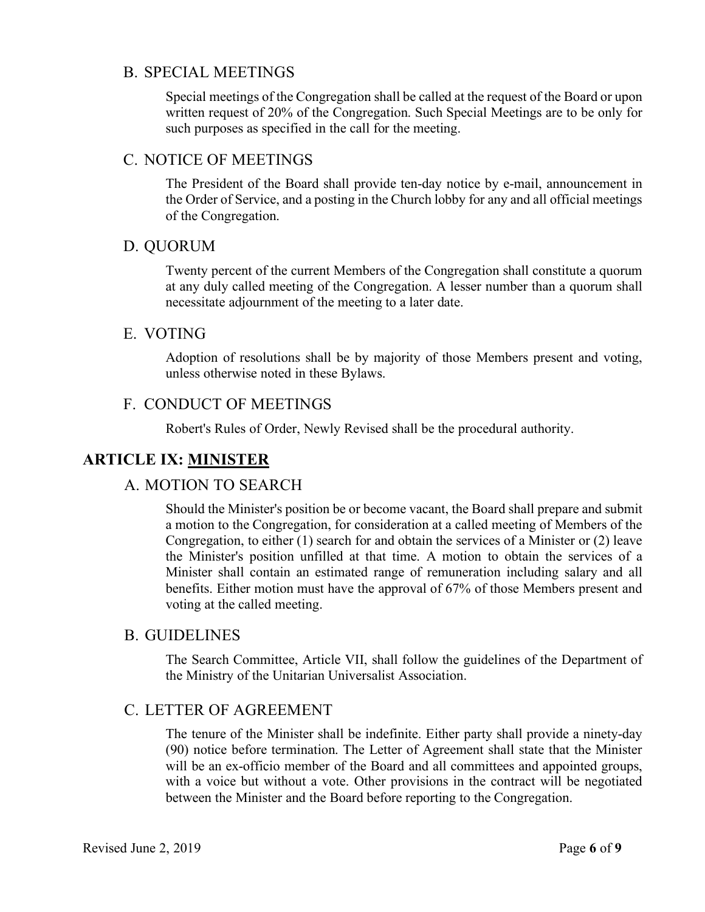### B. SPECIAL MEETINGS

Special meetings of the Congregation shall be called at the request of the Board or upon written request of 20% of the Congregation. Such Special Meetings are to be only for such purposes as specified in the call for the meeting.

### C. NOTICE OF MEETINGS

The President of the Board shall provide ten-day notice by e-mail, announcement in the Order of Service, and a posting in the Church lobby for any and all official meetings of the Congregation.

### D. QUORUM

Twenty percent of the current Members of the Congregation shall constitute a quorum at any duly called meeting of the Congregation. A lesser number than a quorum shall necessitate adjournment of the meeting to a later date.

### E. VOTING

Adoption of resolutions shall be by majority of those Members present and voting, unless otherwise noted in these Bylaws.

### F. CONDUCT OF MEETINGS

Robert's Rules of Order, Newly Revised shall be the procedural authority.

# **ARTICLE IX: MINISTER**

### A. MOTION TO SEARCH

Should the Minister's position be or become vacant, the Board shall prepare and submit a motion to the Congregation, for consideration at a called meeting of Members of the Congregation, to either (1) search for and obtain the services of a Minister or (2) leave the Minister's position unfilled at that time. A motion to obtain the services of a Minister shall contain an estimated range of remuneration including salary and all benefits. Either motion must have the approval of 67% of those Members present and voting at the called meeting.

### B. GUIDELINES

The Search Committee, Article VII, shall follow the guidelines of the Department of the Ministry of the Unitarian Universalist Association.

### C. LETTER OF AGREEMENT

The tenure of the Minister shall be indefinite. Either party shall provide a ninety-day (90) notice before termination. The Letter of Agreement shall state that the Minister will be an ex-officio member of the Board and all committees and appointed groups, with a voice but without a vote. Other provisions in the contract will be negotiated between the Minister and the Board before reporting to the Congregation.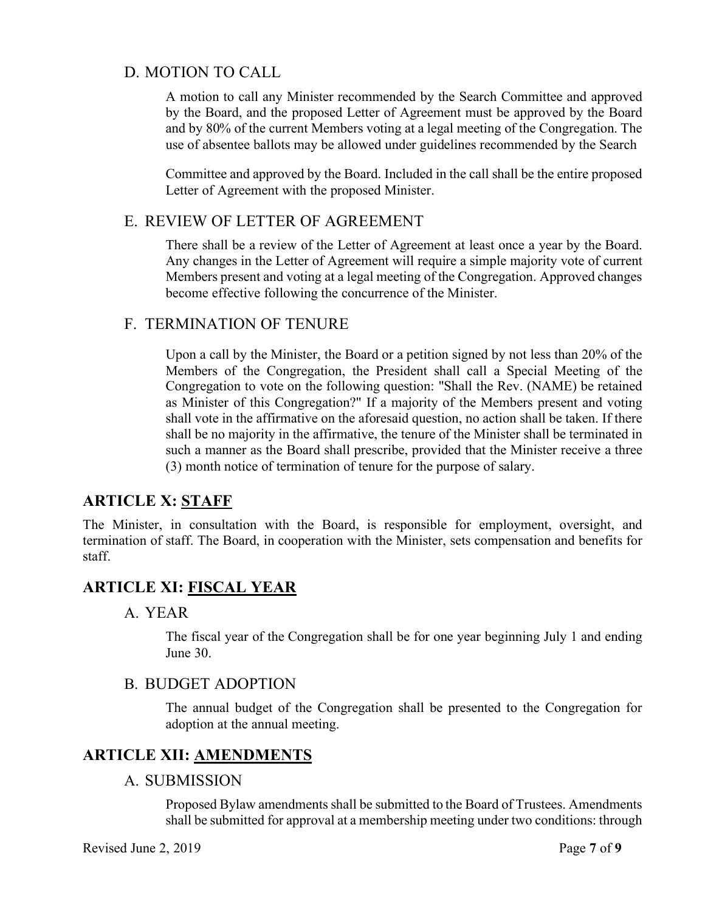## D. MOTION TO CALL

A motion to call any Minister recommended by the Search Committee and approved by the Board, and the proposed Letter of Agreement must be approved by the Board and by 80% of the current Members voting at a legal meeting of the Congregation. The use of absentee ballots may be allowed under guidelines recommended by the Search

Committee and approved by the Board. Included in the call shall be the entire proposed Letter of Agreement with the proposed Minister.

## E. REVIEW OF LETTER OF AGREEMENT

There shall be a review of the Letter of Agreement at least once a year by the Board. Any changes in the Letter of Agreement will require a simple majority vote of current Members present and voting at a legal meeting of the Congregation. Approved changes become effective following the concurrence of the Minister.

### F. TERMINATION OF TENURE

Upon a call by the Minister, the Board or a petition signed by not less than 20% of the Members of the Congregation, the President shall call a Special Meeting of the Congregation to vote on the following question: "Shall the Rev. (NAME) be retained as Minister of this Congregation?" If a majority of the Members present and voting shall vote in the affirmative on the aforesaid question, no action shall be taken. If there shall be no majority in the affirmative, the tenure of the Minister shall be terminated in such a manner as the Board shall prescribe, provided that the Minister receive a three (3) month notice of termination of tenure for the purpose of salary.

# **ARTICLE X: STAFF**

The Minister, in consultation with the Board, is responsible for employment, oversight, and termination of staff. The Board, in cooperation with the Minister, sets compensation and benefits for staff.

# **ARTICLE XI: FISCAL YEAR**

### A. YEAR

The fiscal year of the Congregation shall be for one year beginning July 1 and ending June 30.

### B. BUDGET ADOPTION

The annual budget of the Congregation shall be presented to the Congregation for adoption at the annual meeting.

# **ARTICLE XII: AMENDMENTS**

### A. SUBMISSION

Proposed Bylaw amendments shall be submitted to the Board of Trustees. Amendments shall be submitted for approval at a membership meeting under two conditions: through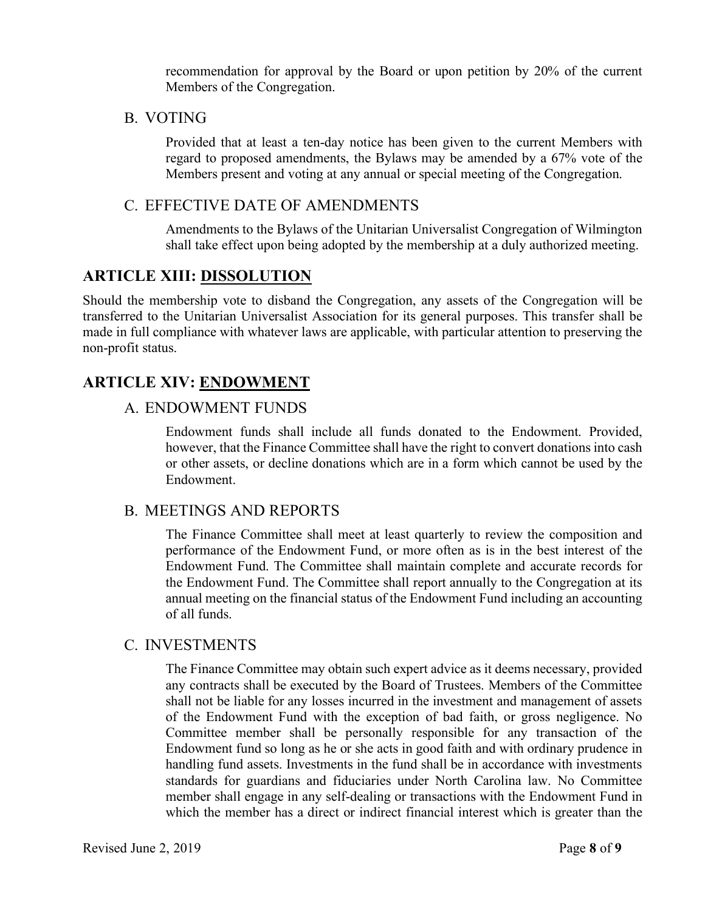recommendation for approval by the Board or upon petition by 20% of the current Members of the Congregation.

B. VOTING

Provided that at least a ten-day notice has been given to the current Members with regard to proposed amendments, the Bylaws may be amended by a 67% vote of the Members present and voting at any annual or special meeting of the Congregation.

### C. EFFECTIVE DATE OF AMENDMENTS

Amendments to the Bylaws of the Unitarian Universalist Congregation of Wilmington shall take effect upon being adopted by the membership at a duly authorized meeting.

## **ARTICLE XIII: DISSOLUTION**

Should the membership vote to disband the Congregation, any assets of the Congregation will be transferred to the Unitarian Universalist Association for its general purposes. This transfer shall be made in full compliance with whatever laws are applicable, with particular attention to preserving the non-profit status.

# **ARTICLE XIV: ENDOWMENT**

### A. ENDOWMENT FUNDS

Endowment funds shall include all funds donated to the Endowment. Provided, however, that the Finance Committee shall have the right to convert donations into cash or other assets, or decline donations which are in a form which cannot be used by the Endowment.

### B. MEETINGS AND REPORTS

The Finance Committee shall meet at least quarterly to review the composition and performance of the Endowment Fund, or more often as is in the best interest of the Endowment Fund. The Committee shall maintain complete and accurate records for the Endowment Fund. The Committee shall report annually to the Congregation at its annual meeting on the financial status of the Endowment Fund including an accounting of all funds.

### C. INVESTMENTS

The Finance Committee may obtain such expert advice as it deems necessary, provided any contracts shall be executed by the Board of Trustees. Members of the Committee shall not be liable for any losses incurred in the investment and management of assets of the Endowment Fund with the exception of bad faith, or gross negligence. No Committee member shall be personally responsible for any transaction of the Endowment fund so long as he or she acts in good faith and with ordinary prudence in handling fund assets. Investments in the fund shall be in accordance with investments standards for guardians and fiduciaries under North Carolina law. No Committee member shall engage in any self-dealing or transactions with the Endowment Fund in which the member has a direct or indirect financial interest which is greater than the